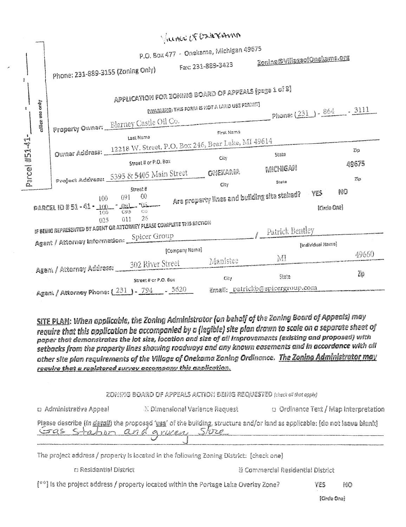|                     |                 |                                                                                                                                                                                                      | MILLINGS LF CZIEKAVNA                                                                                                       |                                                      |                                  |
|---------------------|-----------------|------------------------------------------------------------------------------------------------------------------------------------------------------------------------------------------------------|-----------------------------------------------------------------------------------------------------------------------------|------------------------------------------------------|----------------------------------|
|                     | callee use only | Phone: 231-889-3155 (Zoning Only)                                                                                                                                                                    | P.O. Box 477 - Onekama, Michigan 49675<br>Fax: 231-889-3423                                                                 | Zoning@VillageofOnekama.org                          |                                  |
|                     |                 | Property Owner: Blarney Castle Oil Co.<br>Last Name                                                                                                                                                  | Application for zoning board of appeals (page 1 of 3)<br><b>[WARRING: THIS FORM IS NOT A LAND USE PERMIT]</b><br>First Nama | Phone: $(231 - 864 - 3111$                           |                                  |
| <b>Parcel #51-1</b> |                 | Owner Address: 12218 W. Street, P.O. Box 246, Bear Lake, MI 49614<br>Street # or P.O. Box<br>Project Address: 5395 & 5405 Main Street<br>Street#<br>$\Omega$<br>091<br>100                           | City<br>ONEKANJA<br>City<br>Are property lines and building site staked? MES                                                | State<br>MICHIGAN<br>State                           | Zip<br>49675<br>210<br><b>NO</b> |
|                     |                 | DARCEL ID # 51 - 41 - 100 - 021 - 02<br>CQ<br>095<br>100<br>26<br>011<br>025<br>IF BEING REPRESENTED BY AGENT OR ATTORNEY PLEASE COMPLETE THIS SECTION<br>Agent / Attorney Information: Spicer Group |                                                                                                                             | [Circle One]<br>Patrick Bentley<br>[Individual Name] |                                  |
|                     |                 | Agent / Attorney Address: 302 River Street                                                                                                                                                           | [Company Name]<br>Manistee                                                                                                  | MI<br>State                                          | 49660<br>$\mathbb{Z}^n$          |
|                     |                 | Street # or P.O. Box<br>Agent / Attorney Phone: (231) - 794 - 5620                                                                                                                                   | City                                                                                                                        | Emall: patrickb@spicergroup.com                      |                                  |

**SITE PLAN: When applicable, the Zoning Administrator (on behalf of the Zoning Board of Appeals) may** require that this application be accompanied by a (legible) site plan drawn to scale on a separate sheet of paper that demonstrates the lot size, location and size of all improvements (existing and proposed) with setbacks from the property lines showing roadways and any known easements and in accordance with all other site plan requirements of the Village of Onekama Zoning Ordinance. The Zoning Administrator may require that a registered survey accompany this application.

| ZONING BOARD OF APPEALS ACTION BEING REQUESTED (check all that opply)                                                                                                                |                                 |                                              |  |  |  |  |  |
|--------------------------------------------------------------------------------------------------------------------------------------------------------------------------------------|---------------------------------|----------------------------------------------|--|--|--|--|--|
| ta Administrative Appeal                                                                                                                                                             | EX Dimensional Variance Request | <b>Q</b> Ordinance Text / Map Interpretation |  |  |  |  |  |
| Please describe (in <u>detail</u> ) the proposed ' <u>use</u> ' of the building, structure and/or land as applicable: [do not leave blank]<br><u>GOS Station and a rureing Store</u> |                                 |                                              |  |  |  |  |  |
| The project address / property is located in the following Zoning District: [check one]                                                                                              |                                 |                                              |  |  |  |  |  |

n Residential District **N** Commercial Residential District

[\*\*] Is the project address / property located within the Portage Lake Overlay Zone? YES

[Circle One]

NO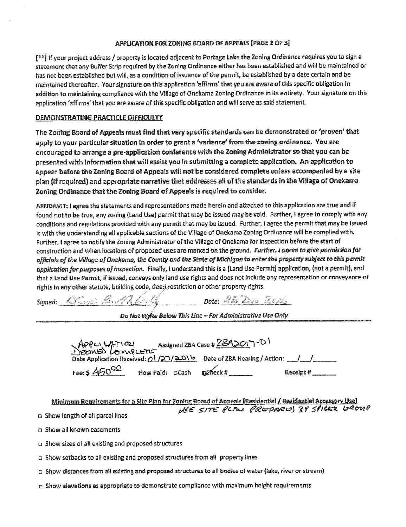#### APPLICATION FOR ZONING BOARD Of APPEALS [PAGE 2 OF 3J

[\*\*] If your project address / property is located adjacent to Portage Lake the Zoning Ordinance requires you to sign a statement that any Buffer Strip required by the Zoning Ordinance either has been established and will be maintained or has not been established but will, as a condition of issuance of the permit, be established by a date certain and be maintained thereafter. Your signature on this application 'affirms' that you are aware of this specific obligation in addition to maintaining compliance with the Village of Onekama Zoning Ordinance in its entirety. Your signature on this application 'affirms' that you are aware of this specific obligation and will serve as said statement.

#### DEMONSTRATING PAACTICLE D!FflCULTY

The Zcmlng Board of Appeals must find that very specific standards can be demonstrated or 'proven' that apply to your particular situation in order to grant a 'variance' from the zoning ordinance. You are encouraged to arrange a pre-application conference with the Zoning Administrator so that you can be presented with Information that will assist you in submitting a complete application. An application to appear before the Zcnlng Soard of Appeals will not be considered complete unless accompanied by a site plan (if required) and appropriate narrative that addresses all of the standards in the Village of Onekama Zoning Ordinance that the Zoning Board of Appeals is required to consider.

AFFIDAVIT: I agree the statements and representations made herein and attached to this application are true and if found not to be true, any zoning (Land Use) permit that may be issued may be void. Further, I agree to comply with any conditions and regulations provided with any permit that may be issued. Further, I agree the permit that may be issued is with the understanding all applicable sections of the Village of Onekama Zoning Ordinance wtll be complied with. Further, I agree to notify the Zoning Administrator of the Village of Onekama for inspection before the start of construction and when locations of proposed uses are marked on the ground. *Further, I agree to give permission for officials of the Village of Onekama, the County and the State of Michigan to enter the property subject* to *this permit application fer purposes of inspection.* Finally, I understand this is *a* [land Use Permit] application, (not a permit), and that a land Use Permit, if issued, conveys only land use rights and does not include any representation or conveyance of rights in any other statute, building code, deed, restriction or other property rights.

 $Signed: 25$  ...  $B. 77.64$  Date: 28 Dec 2016

*Below This tine - for Administmth;,e Use Only* 

 $\sqrt{A}$ <br> $\sqrt{A}$ **-'JEEMED** LOMPLETE<br>Date Application Received: <u>*all* 27/2016</u> Date of ZBA Hearing / Action: \_\_\_/\_\_\_/\_\_\_\_\_\_ Fee: \$  $\frac{\lambda}{\sqrt{20}}$  **How Paid:** oCash  $\alpha$  **Execute #** Receipt # \_\_\_\_\_

o Show length of all parcel lines Minimum Requirements for a Site Plan for Zoning Board of Appeals (Residential *I* Residential Accessory Use]  $u$ if  $\epsilon$  *site free freepred* 34 sfilter brown

- D Show all known easements
- o Show sizes of all existing and proposed structures
- o Show setbacks to all existing and proposed structures from all property lines
- CJ Show distances from all existing and proposed structures to all bodies of water {lake, river or stream)
- o Show elevations as appropriate to demonstrate compliance with maximum height requirements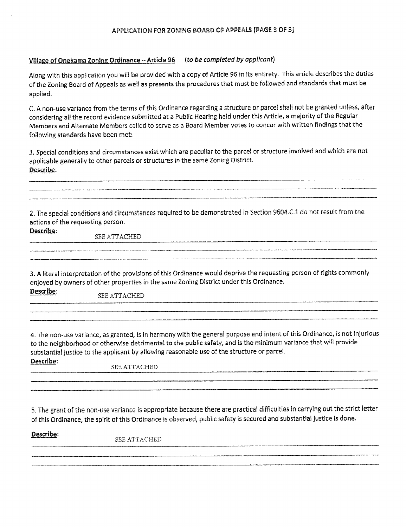#### Village of Onekama Zoning Ordinance -Article 96 (to *be completed by applicant)*

Along with this application you will be provided with a copy of Article 96 in its entirety. This article describes the duties of the Zoning Board of Appeals as well as presents the procedures that must be followed and standards that must be applied.

C. A non-use variance from the terms of this Ordinance regarding a structure or parcel shall not be granted unless, after considering all the record evidence submitted at a Public Hearing held under this Article, a majority of the Regular Members and Alternate Members called to serve as a Board Member votes to concur with written findings that the following standards have been met:

*1.* Special conditions and circumstances exist which are peculiar to the parcel or structure involved and which are not applicable generally to other parcels or structures in the same Zoning District. Describe:



3. A literal interpretation of the provisions of this Ordinance would deprive the requesting person of rights commonly enjoyed by owners of other properties in the same Zoning District under this Ordinance.

Describe: SEE ATTACHED

4. The non-use variance, as granted, is in harmony with the general purpose and intent of this Ordinance, is not injurious to the neighborhood or otherwise detrimental to the public safety, and is the minimum variance that will provide substantial justice to the applicant by allowing reasonable use of the structure or parcel. Describe:

SEE ATTACHED

5. The grant of the non-use variance is appropriate because there are practical difficulties in carrying out the strict letter of this Ordinance, the spirit of this Ordinance is observed, public safety is secured and substantial justice is done.

Describe:

SEE ATTACHED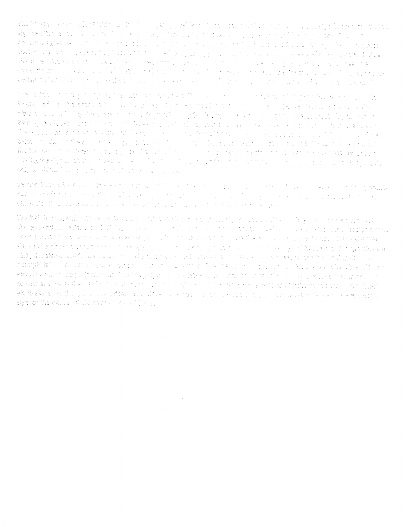The Postega behavior for Distribution is a light provided by outline in the court of our component of the same so behave sig. Ka ki boʻldan te babbin oli inda qardi mendirilgan birining tarihish ona onqibosh (tirilgi tenogh SBC), me<br>Pembilas agreb obbari ini ini manon boʻlini bir ing noqor boʻla birini bash u birin a Suling amiy politik tomi and the digit was shown to people that is completed by the second second second second second positive exclusi de deles selections d'acquisse suit de caliber de sens de la commune de la Calibert de la commune de la cale d<br>Besedimei des illezions du la Cesain de calibria d'une di dividit de la citius de la cite du cole di Calibert Cerigan Calculo agrica de Casilia is en la anciencia de la la la construcción de la calcula de la construcción

The cyclosic college to all the lofts of its complete stress to a stress left to get a black solicity the imesim of the lation was sold sold to show the start of the start of start of the same of terms. The optimis s gleand on na Naing Silep are less by Nais y tha Sashington la shais sha hun aisse ghun na lattaobh ling filis boxes Steresy Cry (s 2020 km) in 1986 or in the Sign material in the first order of the second control of the second<br>Between Cry academy in 1986 or in the Sign material in the Sign Cry of the second control of the academy academ Your police at the treatery of her and head and home in our results of the level of discussion of the complexit belase me dyn dio Die aft au alle Congri Mit Schen und men tour Mondout in Neumann (1961 troch Mingh). Is very diose to de broad of romany in president so and in public and are instituted a central County specifical a a shekar ta shekara ta kasa shekarar ta 1979 ta 1979 na shekarar ta 1970 na 1980 na shekarar ta 1999 na tsa 6.4 / De 推動車 3.5 mar 3.7 min 3.4 (1955) Schaper Talkin

dengan 2017 dikelah perbagai melakukan bermudi menjadi kemudi penduduk dan bermuda penduduk pendapan perbagai m alla vie vatoria si de Sauluca Millo talima io na ismo il liberito di Millo (politivo di Nova Villoto). Ad Platas เมื่ออันนั่งเริ่มเริ่มเริ่มเป็นออกเอง เป็นออกเมื่อง เมื่อว่า 2000 ซึ่ง ออกไทย (Seg) (Economic Palamental) เมื่

We fash het the state come of older composition to a state of order on the sounder of the state of securities consul akages endere adventively in the same source with the contribution of the books of littles opines in sign or the Analing canony the southern also antierly www. It was about to the choice the modifying the Stones with his class de signs to be nisted 6 chash to this to tensory with a significant was been to the control of host substraint that the 1819 price zige and la factor van Los Fourth Photon Company (1999) on the Company of the Company of the Hamps<br>Beengle is bablo plus massage light to change for the so Boshi company of the popular in gardform by a life ra about \$3 m24 fol ha joultur by that hos far porject is closed that it is not be to participate the unserver that far comment rain Centrich, huidist no idente i forma a himotoric me a relativo l'efericio anche e estre abon signal real inguish he price. She whose has seen as our leaders in to general members for a sachelone sign for the proposed plasmap for the East Tipk, and

 $\sim 200$